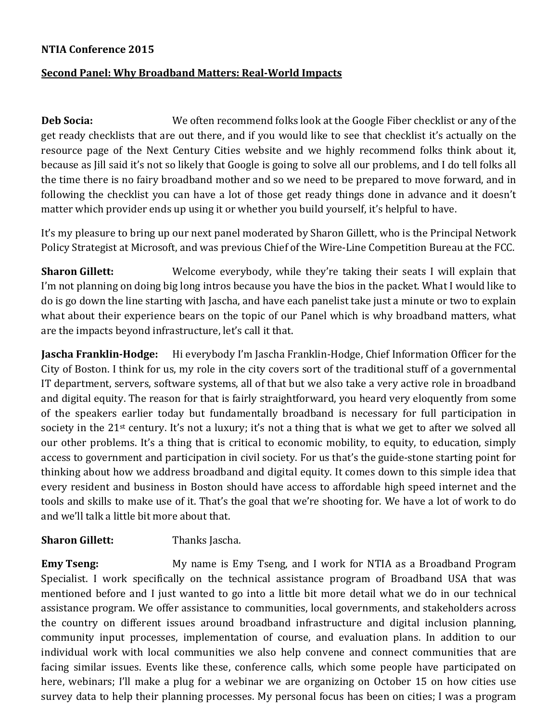## **NTIA Conference 2015**

## **Second Panel: Why Broadband Matters: Real-World Impacts**

**Deb Socia:** We often recommend folks look at the Google Fiber checklist or any of the get ready checklists that are out there, and if you would like to see that checklist it's actually on the resource page of the Next Century Cities website and we highly recommend folks think about it, because as Jill said it's not so likely that Google is going to solve all our problems, and I do tell folks all the time there is no fairy broadband mother and so we need to be prepared to move forward, and in following the checklist you can have a lot of those get ready things done in advance and it doesn't matter which provider ends up using it or whether you build yourself, it's helpful to have.

It's my pleasure to bring up our next panel moderated by Sharon Gillett, who is the Principal Network Policy Strategist at Microsoft, and was previous Chief of the Wire-Line Competition Bureau at the FCC.

**Sharon Gillett:** Welcome everybody, while they're taking their seats I will explain that I'm not planning on doing big long intros because you have the bios in the packet. What I would like to do is go down the line starting with Jascha, and have each panelist take just a minute or two to explain what about their experience bears on the topic of our Panel which is why broadband matters, what are the impacts beyond infrastructure, let's call it that.

**Jascha Franklin-Hodge:** Hi everybody I'm Jascha Franklin-Hodge, Chief Information Officer for the City of Boston. I think for us, my role in the city covers sort of the traditional stuff of a governmental IT department, servers, software systems, all of that but we also take a very active role in broadband and digital equity. The reason for that is fairly straightforward, you heard very eloquently from some of the speakers earlier today but fundamentally broadband is necessary for full participation in society in the 21<sup>st</sup> century. It's not a luxury; it's not a thing that is what we get to after we solved all our other problems. It's a thing that is critical to economic mobility, to equity, to education, simply access to government and participation in civil society. For us that's the guide-stone starting point for thinking about how we address broadband and digital equity. It comes down to this simple idea that every resident and business in Boston should have access to affordable high speed internet and the tools and skills to make use of it. That's the goal that we're shooting for. We have a lot of work to do and we'll talk a little bit more about that.

## **Sharon Gillett:** Thanks Jascha.

**Emy Tseng:** My name is Emy Tseng, and I work for NTIA as a Broadband Program Specialist. I work specifically on the technical assistance program of Broadband USA that was mentioned before and I just wanted to go into a little bit more detail what we do in our technical assistance program. We offer assistance to communities, local governments, and stakeholders across the country on different issues around broadband infrastructure and digital inclusion planning, community input processes, implementation of course, and evaluation plans. In addition to our individual work with local communities we also help convene and connect communities that are facing similar issues. Events like these, conference calls, which some people have participated on here, webinars; I'll make a plug for a webinar we are organizing on October 15 on how cities use survey data to help their planning processes. My personal focus has been on cities; I was a program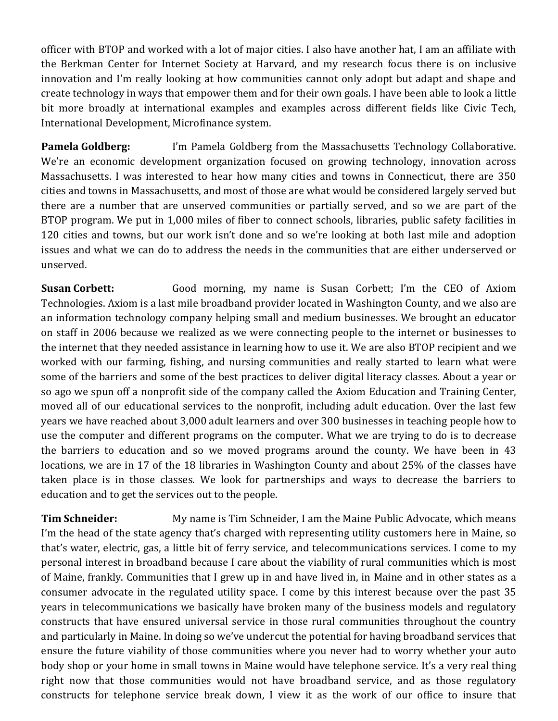officer with BTOP and worked with a lot of major cities. I also have another hat, I am an affiliate with the Berkman Center for Internet Society at Harvard, and my research focus there is on inclusive innovation and I'm really looking at how communities cannot only adopt but adapt and shape and create technology in ways that empower them and for their own goals. I have been able to look a little bit more broadly at international examples and examples across different fields like Civic Tech, International Development, Microfinance system.

**Pamela Goldberg:** I'm Pamela Goldberg from the Massachusetts Technology Collaborative. We're an economic development organization focused on growing technology, innovation across Massachusetts. I was interested to hear how many cities and towns in Connecticut, there are 350 cities and towns in Massachusetts, and most of those are what would be considered largely served but there are a number that are unserved communities or partially served, and so we are part of the BTOP program. We put in 1,000 miles of fiber to connect schools, libraries, public safety facilities in 120 cities and towns, but our work isn't done and so we're looking at both last mile and adoption issues and what we can do to address the needs in the communities that are either underserved or unserved.

**Susan Corbett:** Good morning, my name is Susan Corbett; I'm the CEO of Axiom Technologies. Axiom is a last mile broadband provider located in Washington County, and we also are an information technology company helping small and medium businesses. We brought an educator on staff in 2006 because we realized as we were connecting people to the internet or businesses to the internet that they needed assistance in learning how to use it. We are also BTOP recipient and we worked with our farming, fishing, and nursing communities and really started to learn what were some of the barriers and some of the best practices to deliver digital literacy classes. About a year or so ago we spun off a nonprofit side of the company called the Axiom Education and Training Center, moved all of our educational services to the nonprofit, including adult education. Over the last few years we have reached about 3,000 adult learners and over 300 businesses in teaching people how to use the computer and different programs on the computer. What we are trying to do is to decrease the barriers to education and so we moved programs around the county. We have been in 43 locations, we are in 17 of the 18 libraries in Washington County and about 25% of the classes have taken place is in those classes. We look for partnerships and ways to decrease the barriers to education and to get the services out to the people.

**Tim Schneider:** My name is Tim Schneider, I am the Maine Public Advocate, which means I'm the head of the state agency that's charged with representing utility customers here in Maine, so that's water, electric, gas, a little bit of ferry service, and telecommunications services. I come to my personal interest in broadband because I care about the viability of rural communities which is most of Maine, frankly. Communities that I grew up in and have lived in, in Maine and in other states as a consumer advocate in the regulated utility space. I come by this interest because over the past 35 years in telecommunications we basically have broken many of the business models and regulatory constructs that have ensured universal service in those rural communities throughout the country and particularly in Maine. In doing so we've undercut the potential for having broadband services that ensure the future viability of those communities where you never had to worry whether your auto body shop or your home in small towns in Maine would have telephone service. It's a very real thing right now that those communities would not have broadband service, and as those regulatory constructs for telephone service break down, I view it as the work of our office to insure that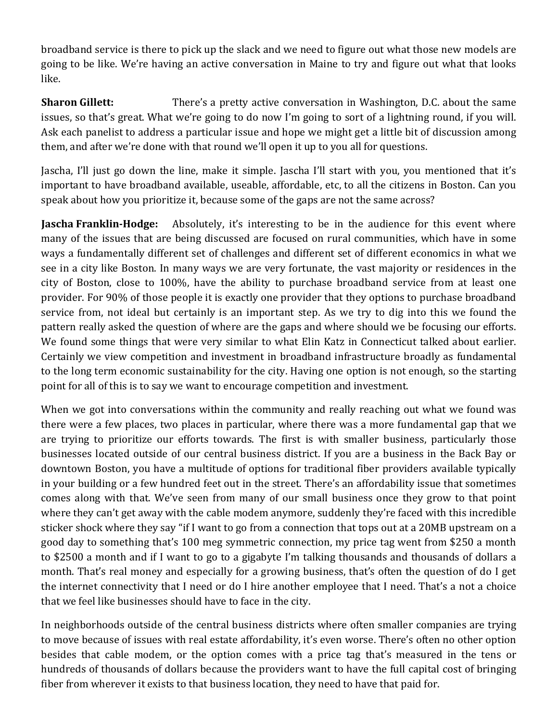broadband service is there to pick up the slack and we need to figure out what those new models are going to be like. We're having an active conversation in Maine to try and figure out what that looks like.

**Sharon Gillett:** There's a pretty active conversation in Washington, D.C. about the same issues, so that's great. What we're going to do now I'm going to sort of a lightning round, if you will. Ask each panelist to address a particular issue and hope we might get a little bit of discussion among them, and after we're done with that round we'll open it up to you all for questions.

Jascha, I'll just go down the line, make it simple. Jascha I'll start with you, you mentioned that it's important to have broadband available, useable, affordable, etc, to all the citizens in Boston. Can you speak about how you prioritize it, because some of the gaps are not the same across?

**Jascha Franklin-Hodge:** Absolutely, it's interesting to be in the audience for this event where many of the issues that are being discussed are focused on rural communities, which have in some ways a fundamentally different set of challenges and different set of different economics in what we see in a city like Boston. In many ways we are very fortunate, the vast majority or residences in the city of Boston, close to 100%, have the ability to purchase broadband service from at least one provider. For 90% of those people it is exactly one provider that they options to purchase broadband service from, not ideal but certainly is an important step. As we try to dig into this we found the pattern really asked the question of where are the gaps and where should we be focusing our efforts. We found some things that were very similar to what Elin Katz in Connecticut talked about earlier. Certainly we view competition and investment in broadband infrastructure broadly as fundamental to the long term economic sustainability for the city. Having one option is not enough, so the starting point for all of this is to say we want to encourage competition and investment.

When we got into conversations within the community and really reaching out what we found was there were a few places, two places in particular, where there was a more fundamental gap that we are trying to prioritize our efforts towards. The first is with smaller business, particularly those businesses located outside of our central business district. If you are a business in the Back Bay or downtown Boston, you have a multitude of options for traditional fiber providers available typically in your building or a few hundred feet out in the street. There's an affordability issue that sometimes comes along with that. We've seen from many of our small business once they grow to that point where they can't get away with the cable modem anymore, suddenly they're faced with this incredible sticker shock where they say "if I want to go from a connection that tops out at a 20MB upstream on a good day to something that's 100 meg symmetric connection, my price tag went from \$250 a month to \$2500 a month and if I want to go to a gigabyte I'm talking thousands and thousands of dollars a month. That's real money and especially for a growing business, that's often the question of do I get the internet connectivity that I need or do I hire another employee that I need. That's a not a choice that we feel like businesses should have to face in the city.

In neighborhoods outside of the central business districts where often smaller companies are trying to move because of issues with real estate affordability, it's even worse. There's often no other option besides that cable modem, or the option comes with a price tag that's measured in the tens or hundreds of thousands of dollars because the providers want to have the full capital cost of bringing fiber from wherever it exists to that business location, they need to have that paid for.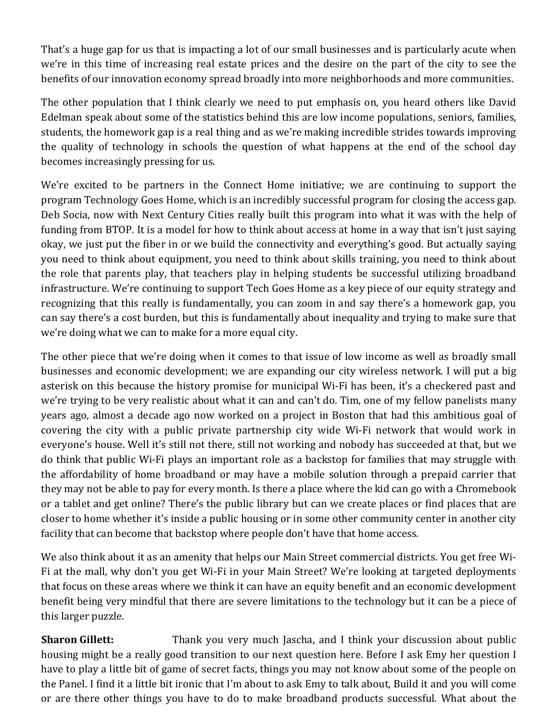That's a huge gap for us that is impacting a lot of our small businesses and is particularly acute when we're in this time of increasing real estate prices and the desire on the part of the city to see the benefits of our innovation economy spread broadly into more neighborhoods and more communities.

The other population that I think clearly we need to put emphasis on, you heard others like David Edelman speak about some of the statistics behind this are low income populations, seniors, families, students, the homework gap is a real thing and as we're making incredible strides towards improving the quality of technology in schools the question of what happens at the end of the school day becomes increasingly pressing for us.

We're excited to be partners in the Connect Home initiative; we are continuing to support the program Technology Goes Home, which is an incredibly successful program for closing the access gap. Deb Socia, now with Next Century Cities really built this program into what it was with the help of funding from BTOP. It is a model for how to think about access at home in a way that isn't just saying okay, we just put the fiber in or we build the connectivity and everything's good. But actually saying you need to think about equipment, you need to think about skills training, you need to think about the role that parents play, that teachers play in helping students be successful utilizing broadband infrastructure. We're continuing to support Tech Goes Home as a key piece of our equity strategy and recognizing that this really is fundamentally, you can zoom in and say there's a homework gap, you can say there's a cost burden, but this is fundamentally about inequality and trying to make sure that we're doing what we can to make for a more equal city.

The other piece that we're doing when it comes to that issue of low income as well as broadly small businesses and economic development; we are expanding our city wireless network. I will put a big asterisk on this because the history promise for municipal Wi-Fi has been, it's a checkered past and we're trying to be very realistic about what it can and can't do. Tim, one of my fellow panelists many years ago, almost a decade ago now worked on a project in Boston that had this ambitious goal of covering the city with a public private partnership city wide Wi-Fi network that would work in everyone's house. Well it's still not there, still not working and nobody has succeeded at that, but we do think that public Wi-Fi plays an important role as a backstop for families that may struggle with the affordability of home broadband or may have a mobile solution through a prepaid carrier that they may not be able to pay for every month. Is there a place where the kid can go with a Chromebook or a tablet and get online? There's the public library but can we create places or find places that are closer to home whether it's inside a public housing or in some other community center in another city facility that can become that backstop where people don't have that home access.

We also think about it as an amenity that helps our Main Street commercial districts. You get free Wi-Fi at the mall, why don't you get Wi-Fi in your Main Street? We're looking at targeted deployments that focus on these areas where we think it can have an equity benefit and an economic development benefit being very mindful that there are severe limitations to the technology but it can be a piece of this larger puzzle.

**Sharon Gillett:** Thank you very much Jascha, and I think your discussion about public housing might be a really good transition to our next question here. Before I ask Emy her question I have to play a little bit of game of secret facts, things you may not know about some of the people on the Panel. I find it a little bit ironic that I'm about to ask Emy to talk about, Build it and you will come or are there other things you have to do to make broadband products successful. What about the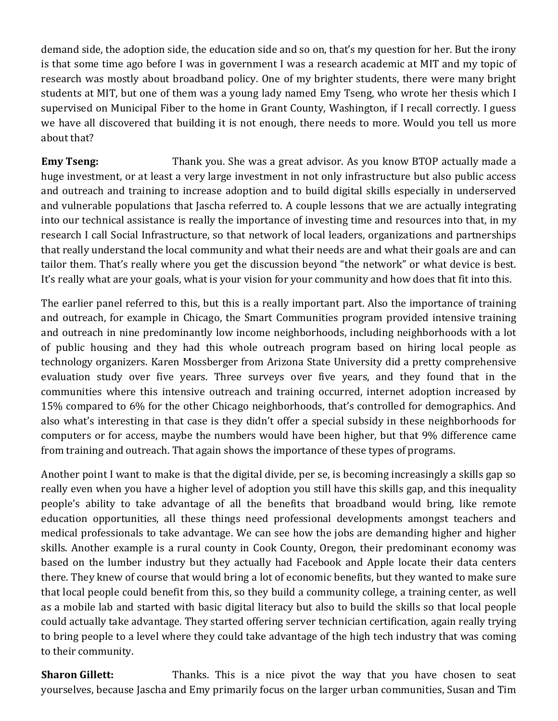demand side, the adoption side, the education side and so on, that's my question for her. But the irony is that some time ago before I was in government I was a research academic at MIT and my topic of research was mostly about broadband policy. One of my brighter students, there were many bright students at MIT, but one of them was a young lady named Emy Tseng, who wrote her thesis which I supervised on Municipal Fiber to the home in Grant County, Washington, if I recall correctly. I guess we have all discovered that building it is not enough, there needs to more. Would you tell us more about that?

**Emy Tseng:** Thank you. She was a great advisor. As you know BTOP actually made a huge investment, or at least a very large investment in not only infrastructure but also public access and outreach and training to increase adoption and to build digital skills especially in underserved and vulnerable populations that Jascha referred to. A couple lessons that we are actually integrating into our technical assistance is really the importance of investing time and resources into that, in my research I call Social Infrastructure, so that network of local leaders, organizations and partnerships that really understand the local community and what their needs are and what their goals are and can tailor them. That's really where you get the discussion beyond "the network" or what device is best. It's really what are your goals, what is your vision for your community and how does that fit into this.

The earlier panel referred to this, but this is a really important part. Also the importance of training and outreach, for example in Chicago, the Smart Communities program provided intensive training and outreach in nine predominantly low income neighborhoods, including neighborhoods with a lot of public housing and they had this whole outreach program based on hiring local people as technology organizers. Karen Mossberger from Arizona State University did a pretty comprehensive evaluation study over five years. Three surveys over five years, and they found that in the communities where this intensive outreach and training occurred, internet adoption increased by 15% compared to 6% for the other Chicago neighborhoods, that's controlled for demographics. And also what's interesting in that case is they didn't offer a special subsidy in these neighborhoods for computers or for access, maybe the numbers would have been higher, but that 9% difference came from training and outreach. That again shows the importance of these types of programs.

Another point I want to make is that the digital divide, per se, is becoming increasingly a skills gap so really even when you have a higher level of adoption you still have this skills gap, and this inequality people's ability to take advantage of all the benefits that broadband would bring, like remote education opportunities, all these things need professional developments amongst teachers and medical professionals to take advantage. We can see how the jobs are demanding higher and higher skills. Another example is a rural county in Cook County, Oregon, their predominant economy was based on the lumber industry but they actually had Facebook and Apple locate their data centers there. They knew of course that would bring a lot of economic benefits, but they wanted to make sure that local people could benefit from this, so they build a community college, a training center, as well as a mobile lab and started with basic digital literacy but also to build the skills so that local people could actually take advantage. They started offering server technician certification, again really trying to bring people to a level where they could take advantage of the high tech industry that was coming to their community.

**Sharon Gillett:** Thanks. This is a nice pivot the way that you have chosen to seat yourselves, because Jascha and Emy primarily focus on the larger urban communities, Susan and Tim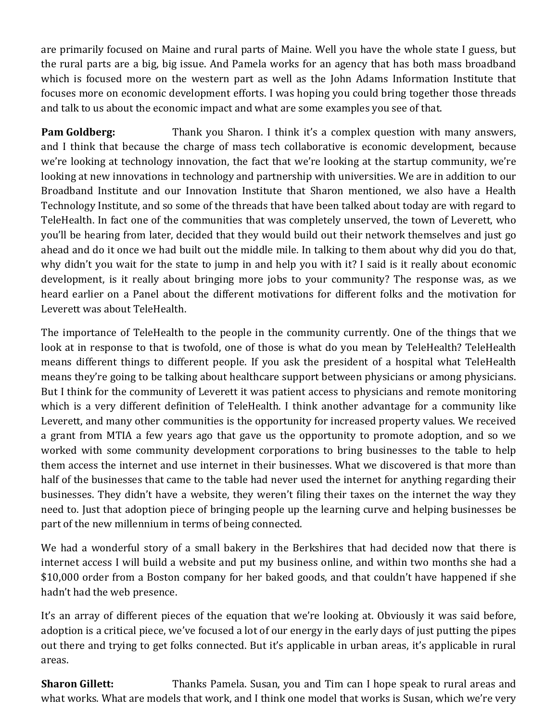are primarily focused on Maine and rural parts of Maine. Well you have the whole state I guess, but the rural parts are a big, big issue. And Pamela works for an agency that has both mass broadband which is focused more on the western part as well as the John Adams Information Institute that focuses more on economic development efforts. I was hoping you could bring together those threads and talk to us about the economic impact and what are some examples you see of that.

**Pam Goldberg:** Thank you Sharon. I think it's a complex question with many answers, and I think that because the charge of mass tech collaborative is economic development, because we're looking at technology innovation, the fact that we're looking at the startup community, we're looking at new innovations in technology and partnership with universities. We are in addition to our Broadband Institute and our Innovation Institute that Sharon mentioned, we also have a Health Technology Institute, and so some of the threads that have been talked about today are with regard to TeleHealth. In fact one of the communities that was completely unserved, the town of Leverett, who you'll be hearing from later, decided that they would build out their network themselves and just go ahead and do it once we had built out the middle mile. In talking to them about why did you do that, why didn't you wait for the state to jump in and help you with it? I said is it really about economic development, is it really about bringing more jobs to your community? The response was, as we heard earlier on a Panel about the different motivations for different folks and the motivation for Leverett was about TeleHealth.

The importance of TeleHealth to the people in the community currently. One of the things that we look at in response to that is twofold, one of those is what do you mean by TeleHealth? TeleHealth means different things to different people. If you ask the president of a hospital what TeleHealth means they're going to be talking about healthcare support between physicians or among physicians. But I think for the community of Leverett it was patient access to physicians and remote monitoring which is a very different definition of TeleHealth. I think another advantage for a community like Leverett, and many other communities is the opportunity for increased property values. We received a grant from MTIA a few years ago that gave us the opportunity to promote adoption, and so we worked with some community development corporations to bring businesses to the table to help them access the internet and use internet in their businesses. What we discovered is that more than half of the businesses that came to the table had never used the internet for anything regarding their businesses. They didn't have a website, they weren't filing their taxes on the internet the way they need to. Just that adoption piece of bringing people up the learning curve and helping businesses be part of the new millennium in terms of being connected.

We had a wonderful story of a small bakery in the Berkshires that had decided now that there is internet access I will build a website and put my business online, and within two months she had a \$10,000 order from a Boston company for her baked goods, and that couldn't have happened if she hadn't had the web presence.

It's an array of different pieces of the equation that we're looking at. Obviously it was said before, adoption is a critical piece, we've focused a lot of our energy in the early days of just putting the pipes out there and trying to get folks connected. But it's applicable in urban areas, it's applicable in rural areas.

**Sharon Gillett:** Thanks Pamela. Susan, you and Tim can I hope speak to rural areas and what works. What are models that work, and I think one model that works is Susan, which we're very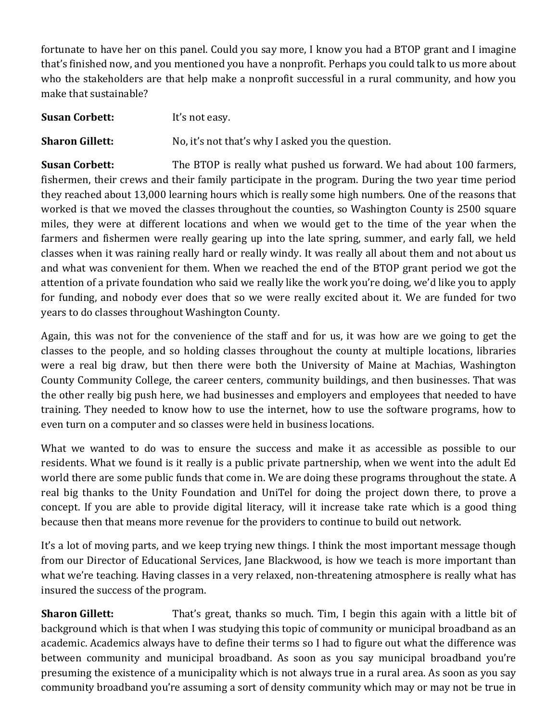fortunate to have her on this panel. Could you say more, I know you had a BTOP grant and I imagine that's finished now, and you mentioned you have a nonprofit. Perhaps you could talk to us more about who the stakeholders are that help make a nonprofit successful in a rural community, and how you make that sustainable?

**Susan Corbett:** It's not easy.

**Sharon Gillett:** No, it's not that's why I asked you the question.

**Susan Corbett:** The BTOP is really what pushed us forward. We had about 100 farmers, fishermen, their crews and their family participate in the program. During the two year time period they reached about 13,000 learning hours which is really some high numbers. One of the reasons that worked is that we moved the classes throughout the counties, so Washington County is 2500 square miles, they were at different locations and when we would get to the time of the year when the farmers and fishermen were really gearing up into the late spring, summer, and early fall, we held classes when it was raining really hard or really windy. It was really all about them and not about us and what was convenient for them. When we reached the end of the BTOP grant period we got the attention of a private foundation who said we really like the work you're doing, we'd like you to apply for funding, and nobody ever does that so we were really excited about it. We are funded for two years to do classes throughout Washington County.

Again, this was not for the convenience of the staff and for us, it was how are we going to get the classes to the people, and so holding classes throughout the county at multiple locations, libraries were a real big draw, but then there were both the University of Maine at Machias, Washington County Community College, the career centers, community buildings, and then businesses. That was the other really big push here, we had businesses and employers and employees that needed to have training. They needed to know how to use the internet, how to use the software programs, how to even turn on a computer and so classes were held in business locations.

What we wanted to do was to ensure the success and make it as accessible as possible to our residents. What we found is it really is a public private partnership, when we went into the adult Ed world there are some public funds that come in. We are doing these programs throughout the state. A real big thanks to the Unity Foundation and UniTel for doing the project down there, to prove a concept. If you are able to provide digital literacy, will it increase take rate which is a good thing because then that means more revenue for the providers to continue to build out network.

It's a lot of moving parts, and we keep trying new things. I think the most important message though from our Director of Educational Services, Jane Blackwood, is how we teach is more important than what we're teaching. Having classes in a very relaxed, non-threatening atmosphere is really what has insured the success of the program.

**Sharon Gillett:** That's great, thanks so much. Tim, I begin this again with a little bit of background which is that when I was studying this topic of community or municipal broadband as an academic. Academics always have to define their terms so I had to figure out what the difference was between community and municipal broadband. As soon as you say municipal broadband you're presuming the existence of a municipality which is not always true in a rural area. As soon as you say community broadband you're assuming a sort of density community which may or may not be true in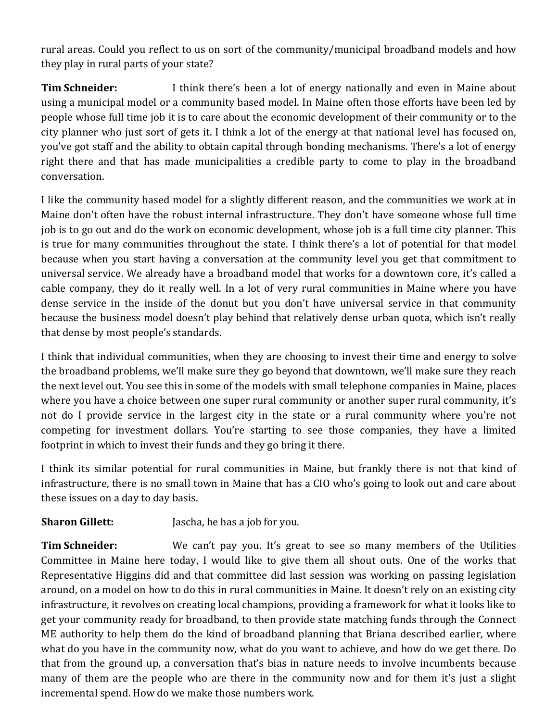rural areas. Could you reflect to us on sort of the community/municipal broadband models and how they play in rural parts of your state?

**Tim Schneider:** I think there's been a lot of energy nationally and even in Maine about using a municipal model or a community based model. In Maine often those efforts have been led by people whose full time job it is to care about the economic development of their community or to the city planner who just sort of gets it. I think a lot of the energy at that national level has focused on, you've got staff and the ability to obtain capital through bonding mechanisms. There's a lot of energy right there and that has made municipalities a credible party to come to play in the broadband conversation.

I like the community based model for a slightly different reason, and the communities we work at in Maine don't often have the robust internal infrastructure. They don't have someone whose full time job is to go out and do the work on economic development, whose job is a full time city planner. This is true for many communities throughout the state. I think there's a lot of potential for that model because when you start having a conversation at the community level you get that commitment to universal service. We already have a broadband model that works for a downtown core, it's called a cable company, they do it really well. In a lot of very rural communities in Maine where you have dense service in the inside of the donut but you don't have universal service in that community because the business model doesn't play behind that relatively dense urban quota, which isn't really that dense by most people's standards.

I think that individual communities, when they are choosing to invest their time and energy to solve the broadband problems, we'll make sure they go beyond that downtown, we'll make sure they reach the next level out. You see this in some of the models with small telephone companies in Maine, places where you have a choice between one super rural community or another super rural community, it's not do I provide service in the largest city in the state or a rural community where you're not competing for investment dollars. You're starting to see those companies, they have a limited footprint in which to invest their funds and they go bring it there.

I think its similar potential for rural communities in Maine, but frankly there is not that kind of infrastructure, there is no small town in Maine that has a CIO who's going to look out and care about these issues on a day to day basis.

**Sharon Gillett:** Jascha, he has a job for you.

**Tim Schneider:** We can't pay you. It's great to see so many members of the Utilities Committee in Maine here today, I would like to give them all shout outs. One of the works that Representative Higgins did and that committee did last session was working on passing legislation around, on a model on how to do this in rural communities in Maine. It doesn't rely on an existing city infrastructure, it revolves on creating local champions, providing a framework for what it looks like to get your community ready for broadband, to then provide state matching funds through the Connect ME authority to help them do the kind of broadband planning that Briana described earlier, where what do you have in the community now, what do you want to achieve, and how do we get there. Do that from the ground up, a conversation that's bias in nature needs to involve incumbents because many of them are the people who are there in the community now and for them it's just a slight incremental spend. How do we make those numbers work.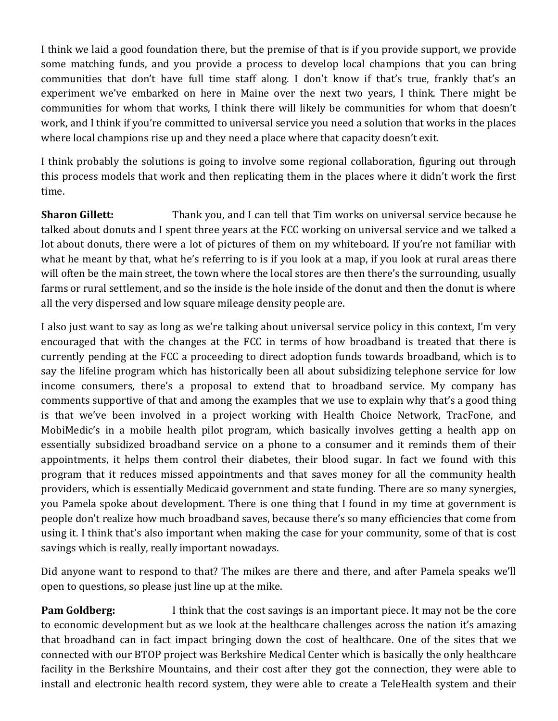I think we laid a good foundation there, but the premise of that is if you provide support, we provide some matching funds, and you provide a process to develop local champions that you can bring communities that don't have full time staff along. I don't know if that's true, frankly that's an experiment we've embarked on here in Maine over the next two years, I think. There might be communities for whom that works, I think there will likely be communities for whom that doesn't work, and I think if you're committed to universal service you need a solution that works in the places where local champions rise up and they need a place where that capacity doesn't exit.

I think probably the solutions is going to involve some regional collaboration, figuring out through this process models that work and then replicating them in the places where it didn't work the first time.

**Sharon Gillett:** Thank you, and I can tell that Tim works on universal service because he talked about donuts and I spent three years at the FCC working on universal service and we talked a lot about donuts, there were a lot of pictures of them on my whiteboard. If you're not familiar with what he meant by that, what he's referring to is if you look at a map, if you look at rural areas there will often be the main street, the town where the local stores are then there's the surrounding, usually farms or rural settlement, and so the inside is the hole inside of the donut and then the donut is where all the very dispersed and low square mileage density people are.

I also just want to say as long as we're talking about universal service policy in this context, I'm very encouraged that with the changes at the FCC in terms of how broadband is treated that there is currently pending at the FCC a proceeding to direct adoption funds towards broadband, which is to say the lifeline program which has historically been all about subsidizing telephone service for low income consumers, there's a proposal to extend that to broadband service. My company has comments supportive of that and among the examples that we use to explain why that's a good thing is that we've been involved in a project working with Health Choice Network, TracFone, and MobiMedic's in a mobile health pilot program, which basically involves getting a health app on essentially subsidized broadband service on a phone to a consumer and it reminds them of their appointments, it helps them control their diabetes, their blood sugar. In fact we found with this program that it reduces missed appointments and that saves money for all the community health providers, which is essentially Medicaid government and state funding. There are so many synergies, you Pamela spoke about development. There is one thing that I found in my time at government is people don't realize how much broadband saves, because there's so many efficiencies that come from using it. I think that's also important when making the case for your community, some of that is cost savings which is really, really important nowadays.

Did anyone want to respond to that? The mikes are there and there, and after Pamela speaks we'll open to questions, so please just line up at the mike.

**Pam Goldberg:** I think that the cost savings is an important piece. It may not be the core to economic development but as we look at the healthcare challenges across the nation it's amazing that broadband can in fact impact bringing down the cost of healthcare. One of the sites that we connected with our BTOP project was Berkshire Medical Center which is basically the only healthcare facility in the Berkshire Mountains, and their cost after they got the connection, they were able to install and electronic health record system, they were able to create a TeleHealth system and their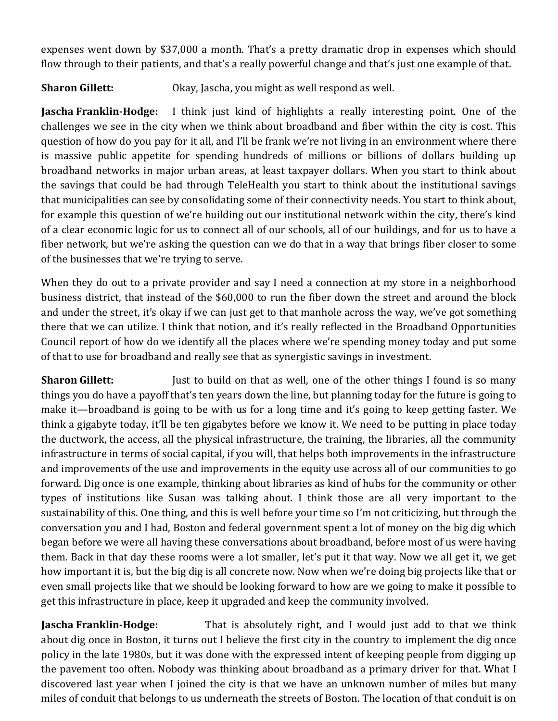expenses went down by \$37,000 a month. That's a pretty dramatic drop in expenses which should flow through to their patients, and that's a really powerful change and that's just one example of that.

**Sharon Gillett:** Okay, Jascha, you might as well respond as well.

**Jascha Franklin-Hodge:** I think just kind of highlights a really interesting point. One of the challenges we see in the city when we think about broadband and fiber within the city is cost. This question of how do you pay for it all, and I'll be frank we're not living in an environment where there is massive public appetite for spending hundreds of millions or billions of dollars building up broadband networks in major urban areas, at least taxpayer dollars. When you start to think about the savings that could be had through TeleHealth you start to think about the institutional savings that municipalities can see by consolidating some of their connectivity needs. You start to think about, for example this question of we're building out our institutional network within the city, there's kind of a clear economic logic for us to connect all of our schools, all of our buildings, and for us to have a fiber network, but we're asking the question can we do that in a way that brings fiber closer to some of the businesses that we're trying to serve.

When they do out to a private provider and say I need a connection at my store in a neighborhood business district, that instead of the \$60,000 to run the fiber down the street and around the block and under the street, it's okay if we can just get to that manhole across the way, we've got something there that we can utilize. I think that notion, and it's really reflected in the Broadband Opportunities Council report of how do we identify all the places where we're spending money today and put some of that to use for broadband and really see that as synergistic savings in investment.

**Sharon Gillett:** Just to build on that as well, one of the other things I found is so many things you do have a payoff that's ten years down the line, but planning today for the future is going to make it—broadband is going to be with us for a long time and it's going to keep getting faster. We think a gigabyte today, it'll be ten gigabytes before we know it. We need to be putting in place today the ductwork, the access, all the physical infrastructure, the training, the libraries, all the community infrastructure in terms of social capital, if you will, that helps both improvements in the infrastructure and improvements of the use and improvements in the equity use across all of our communities to go forward. Dig once is one example, thinking about libraries as kind of hubs for the community or other types of institutions like Susan was talking about. I think those are all very important to the sustainability of this. One thing, and this is well before your time so I'm not criticizing, but through the conversation you and I had, Boston and federal government spent a lot of money on the big dig which began before we were all having these conversations about broadband, before most of us were having them. Back in that day these rooms were a lot smaller, let's put it that way. Now we all get it, we get how important it is, but the big dig is all concrete now. Now when we're doing big projects like that or even small projects like that we should be looking forward to how are we going to make it possible to get this infrastructure in place, keep it upgraded and keep the community involved.

**Jascha Franklin-Hodge:** That is absolutely right, and I would just add to that we think about dig once in Boston, it turns out I believe the first city in the country to implement the dig once policy in the late 1980s, but it was done with the expressed intent of keeping people from digging up the pavement too often. Nobody was thinking about broadband as a primary driver for that. What I discovered last year when I joined the city is that we have an unknown number of miles but many miles of conduit that belongs to us underneath the streets of Boston. The location of that conduit is on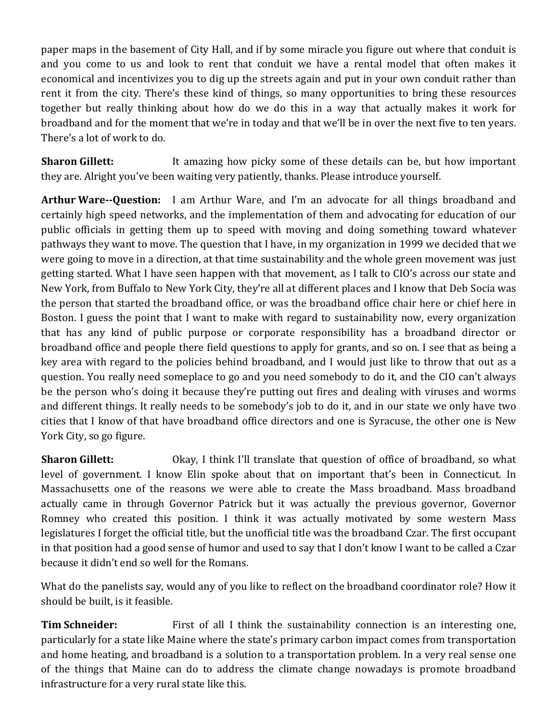paper maps in the basement of City Hall, and if by some miracle you figure out where that conduit is and you come to us and look to rent that conduit we have a rental model that often makes it economical and incentivizes you to dig up the streets again and put in your own conduit rather than rent it from the city. There's these kind of things, so many opportunities to bring these resources together but really thinking about how do we do this in a way that actually makes it work for broadband and for the moment that we're in today and that we'll be in over the next five to ten years. There's a lot of work to do.

**Sharon Gillett:** It amazing how picky some of these details can be, but how important they are. Alright you've been waiting very patiently, thanks. Please introduce yourself.

**Arthur Ware--Question:** I am Arthur Ware, and I'm an advocate for all things broadband and certainly high speed networks, and the implementation of them and advocating for education of our public officials in getting them up to speed with moving and doing something toward whatever pathways they want to move. The question that I have, in my organization in 1999 we decided that we were going to move in a direction, at that time sustainability and the whole green movement was just getting started. What I have seen happen with that movement, as I talk to CIO's across our state and New York, from Buffalo to New York City, they're all at different places and I know that Deb Socia was the person that started the broadband office, or was the broadband office chair here or chief here in Boston. I guess the point that I want to make with regard to sustainability now, every organization that has any kind of public purpose or corporate responsibility has a broadband director or broadband office and people there field questions to apply for grants, and so on. I see that as being a key area with regard to the policies behind broadband, and I would just like to throw that out as a question. You really need someplace to go and you need somebody to do it, and the CIO can't always be the person who's doing it because they're putting out fires and dealing with viruses and worms and different things. It really needs to be somebody's job to do it, and in our state we only have two cities that I know of that have broadband office directors and one is Syracuse, the other one is New York City, so go figure.

**Sharon Gillett:** Okay, I think I'll translate that question of office of broadband, so what level of government. I know Elin spoke about that on important that's been in Connecticut. In Massachusetts one of the reasons we were able to create the Mass broadband. Mass broadband actually came in through Governor Patrick but it was actually the previous governor, Governor Romney who created this position. I think it was actually motivated by some western Mass legislatures I forget the official title, but the unofficial title was the broadband Czar. The first occupant in that position had a good sense of humor and used to say that I don't know I want to be called a Czar because it didn't end so well for the Romans.

What do the panelists say, would any of you like to reflect on the broadband coordinator role? How it should be built, is it feasible.

**Tim Schneider:** First of all I think the sustainability connection is an interesting one, particularly for a state like Maine where the state's primary carbon impact comes from transportation and home heating, and broadband is a solution to a transportation problem. In a very real sense one of the things that Maine can do to address the climate change nowadays is promote broadband infrastructure for a very rural state like this.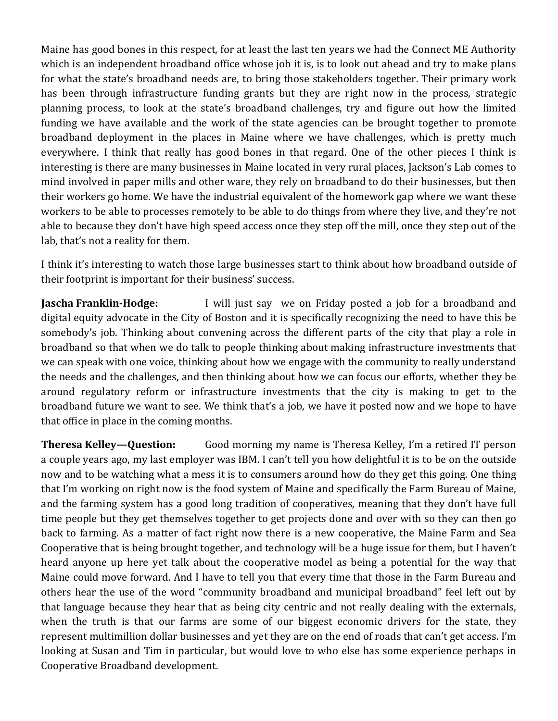Maine has good bones in this respect, for at least the last ten years we had the Connect ME Authority which is an independent broadband office whose job it is, is to look out ahead and try to make plans for what the state's broadband needs are, to bring those stakeholders together. Their primary work has been through infrastructure funding grants but they are right now in the process, strategic planning process, to look at the state's broadband challenges, try and figure out how the limited funding we have available and the work of the state agencies can be brought together to promote broadband deployment in the places in Maine where we have challenges, which is pretty much everywhere. I think that really has good bones in that regard. One of the other pieces I think is interesting is there are many businesses in Maine located in very rural places, Jackson's Lab comes to mind involved in paper mills and other ware, they rely on broadband to do their businesses, but then their workers go home. We have the industrial equivalent of the homework gap where we want these workers to be able to processes remotely to be able to do things from where they live, and they're not able to because they don't have high speed access once they step off the mill, once they step out of the lab, that's not a reality for them.

I think it's interesting to watch those large businesses start to think about how broadband outside of their footprint is important for their business' success.

**Jascha Franklin-Hodge:** I will just say we on Friday posted a job for a broadband and digital equity advocate in the City of Boston and it is specifically recognizing the need to have this be somebody's job. Thinking about convening across the different parts of the city that play a role in broadband so that when we do talk to people thinking about making infrastructure investments that we can speak with one voice, thinking about how we engage with the community to really understand the needs and the challenges, and then thinking about how we can focus our efforts, whether they be around regulatory reform or infrastructure investments that the city is making to get to the broadband future we want to see. We think that's a job, we have it posted now and we hope to have that office in place in the coming months.

**Theresa Kelley—Question:** Good morning my name is Theresa Kelley, I'm a retired IT person a couple years ago, my last employer was IBM. I can't tell you how delightful it is to be on the outside now and to be watching what a mess it is to consumers around how do they get this going. One thing that I'm working on right now is the food system of Maine and specifically the Farm Bureau of Maine, and the farming system has a good long tradition of cooperatives, meaning that they don't have full time people but they get themselves together to get projects done and over with so they can then go back to farming. As a matter of fact right now there is a new cooperative, the Maine Farm and Sea Cooperative that is being brought together, and technology will be a huge issue for them, but I haven't heard anyone up here yet talk about the cooperative model as being a potential for the way that Maine could move forward. And I have to tell you that every time that those in the Farm Bureau and others hear the use of the word "community broadband and municipal broadband" feel left out by that language because they hear that as being city centric and not really dealing with the externals, when the truth is that our farms are some of our biggest economic drivers for the state, they represent multimillion dollar businesses and yet they are on the end of roads that can't get access. I'm looking at Susan and Tim in particular, but would love to who else has some experience perhaps in Cooperative Broadband development.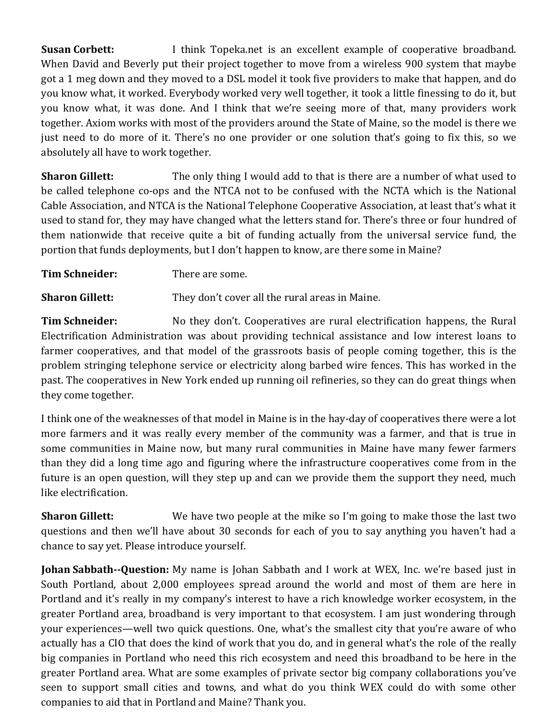**Susan Corbett:** I think Topeka.net is an excellent example of cooperative broadband. When David and Beverly put their project together to move from a wireless 900 system that maybe got a 1 meg down and they moved to a DSL model it took five providers to make that happen, and do you know what, it worked. Everybody worked very well together, it took a little finessing to do it, but you know what, it was done. And I think that we're seeing more of that, many providers work together. Axiom works with most of the providers around the State of Maine, so the model is there we just need to do more of it. There's no one provider or one solution that's going to fix this, so we absolutely all have to work together.

**Sharon Gillett:** The only thing I would add to that is there are a number of what used to be called telephone co-ops and the NTCA not to be confused with the NCTA which is the National Cable Association, and NTCA is the National Telephone Cooperative Association, at least that's what it used to stand for, they may have changed what the letters stand for. There's three or four hundred of them nationwide that receive quite a bit of funding actually from the universal service fund, the portion that funds deployments, but I don't happen to know, are there some in Maine?

**Tim Schneider:** There are some.

**Sharon Gillett:** They don't cover all the rural areas in Maine.

**Tim Schneider:** No they don't. Cooperatives are rural electrification happens, the Rural Electrification Administration was about providing technical assistance and low interest loans to farmer cooperatives, and that model of the grassroots basis of people coming together, this is the problem stringing telephone service or electricity along barbed wire fences. This has worked in the past. The cooperatives in New York ended up running oil refineries, so they can do great things when they come together.

I think one of the weaknesses of that model in Maine is in the hay-day of cooperatives there were a lot more farmers and it was really every member of the community was a farmer, and that is true in some communities in Maine now, but many rural communities in Maine have many fewer farmers than they did a long time ago and figuring where the infrastructure cooperatives come from in the future is an open question, will they step up and can we provide them the support they need, much like electrification.

**Sharon Gillett:** We have two people at the mike so I'm going to make those the last two questions and then we'll have about 30 seconds for each of you to say anything you haven't had a chance to say yet. Please introduce yourself.

**Johan Sabbath--Question:** My name is Johan Sabbath and I work at WEX, Inc. we're based just in South Portland, about 2,000 employees spread around the world and most of them are here in Portland and it's really in my company's interest to have a rich knowledge worker ecosystem, in the greater Portland area, broadband is very important to that ecosystem. I am just wondering through your experiences—well two quick questions. One, what's the smallest city that you're aware of who actually has a CIO that does the kind of work that you do, and in general what's the role of the really big companies in Portland who need this rich ecosystem and need this broadband to be here in the greater Portland area. What are some examples of private sector big company collaborations you've seen to support small cities and towns, and what do you think WEX could do with some other companies to aid that in Portland and Maine? Thank you.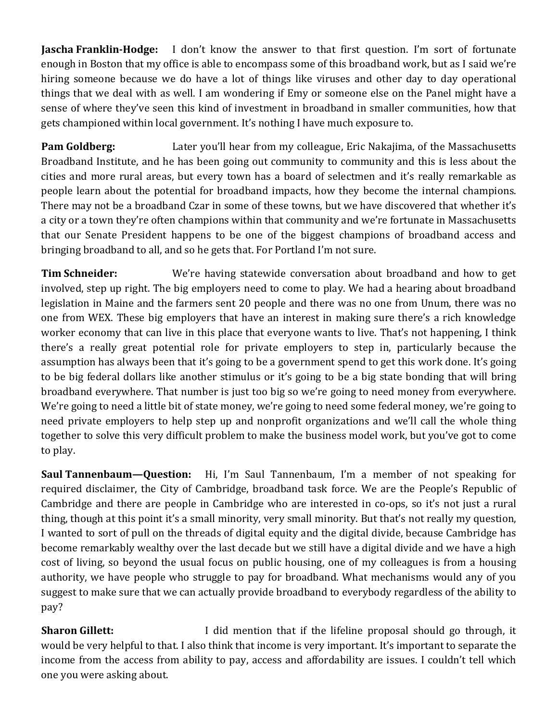**Jascha Franklin-Hodge:** I don't know the answer to that first question. I'm sort of fortunate enough in Boston that my office is able to encompass some of this broadband work, but as I said we're hiring someone because we do have a lot of things like viruses and other day to day operational things that we deal with as well. I am wondering if Emy or someone else on the Panel might have a sense of where they've seen this kind of investment in broadband in smaller communities, how that gets championed within local government. It's nothing I have much exposure to.

**Pam Goldberg:** Later you'll hear from my colleague, Eric Nakajima, of the Massachusetts Broadband Institute, and he has been going out community to community and this is less about the cities and more rural areas, but every town has a board of selectmen and it's really remarkable as people learn about the potential for broadband impacts, how they become the internal champions. There may not be a broadband Czar in some of these towns, but we have discovered that whether it's a city or a town they're often champions within that community and we're fortunate in Massachusetts that our Senate President happens to be one of the biggest champions of broadband access and bringing broadband to all, and so he gets that. For Portland I'm not sure.

**Tim Schneider:** We're having statewide conversation about broadband and how to get involved, step up right. The big employers need to come to play. We had a hearing about broadband legislation in Maine and the farmers sent 20 people and there was no one from Unum, there was no one from WEX. These big employers that have an interest in making sure there's a rich knowledge worker economy that can live in this place that everyone wants to live. That's not happening, I think there's a really great potential role for private employers to step in, particularly because the assumption has always been that it's going to be a government spend to get this work done. It's going to be big federal dollars like another stimulus or it's going to be a big state bonding that will bring broadband everywhere. That number is just too big so we're going to need money from everywhere. We're going to need a little bit of state money, we're going to need some federal money, we're going to need private employers to help step up and nonprofit organizations and we'll call the whole thing together to solve this very difficult problem to make the business model work, but you've got to come to play.

**Saul Tannenbaum—Question:** Hi, I'm Saul Tannenbaum, I'm a member of not speaking for required disclaimer, the City of Cambridge, broadband task force. We are the People's Republic of Cambridge and there are people in Cambridge who are interested in co-ops, so it's not just a rural thing, though at this point it's a small minority, very small minority. But that's not really my question, I wanted to sort of pull on the threads of digital equity and the digital divide, because Cambridge has become remarkably wealthy over the last decade but we still have a digital divide and we have a high cost of living, so beyond the usual focus on public housing, one of my colleagues is from a housing authority, we have people who struggle to pay for broadband. What mechanisms would any of you suggest to make sure that we can actually provide broadband to everybody regardless of the ability to pay?

**Sharon Gillett:** I did mention that if the lifeline proposal should go through, it would be very helpful to that. I also think that income is very important. It's important to separate the income from the access from ability to pay, access and affordability are issues. I couldn't tell which one you were asking about.